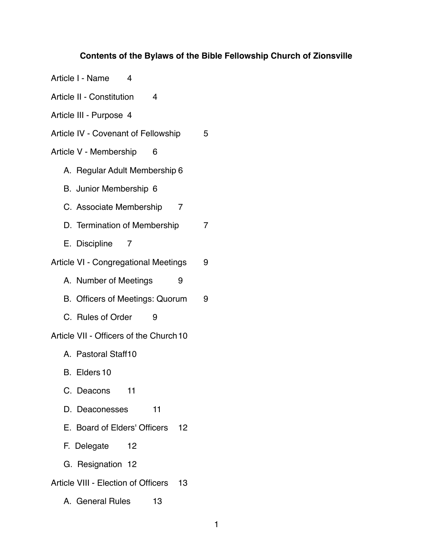# **Contents of the Bylaws of the Bible Fellowship Church of Zionsville**

|                                         | Article I - Name                     | $\overline{4}$ |                |   |   |  |
|-----------------------------------------|--------------------------------------|----------------|----------------|---|---|--|
|                                         | Article II - Constitution            |                | $\overline{4}$ |   |   |  |
|                                         | Article III - Purpose 4              |                |                |   |   |  |
|                                         | Article IV - Covenant of Fellowship  |                |                |   | 5 |  |
|                                         | Article V - Membership               |                | 6              |   |   |  |
|                                         | A. Regular Adult Membership 6        |                |                |   |   |  |
|                                         | B. Junior Membership 6               |                |                |   |   |  |
|                                         | C. Associate Membership              |                |                | 7 |   |  |
|                                         | D. Termination of Membership         |                |                |   | 7 |  |
|                                         | E. Discipline 7                      |                |                |   |   |  |
|                                         | Article VI - Congregational Meetings |                |                |   | 9 |  |
|                                         | A. Number of Meetings                |                |                | 9 |   |  |
|                                         | B. Officers of Meetings: Quorum      |                |                |   | 9 |  |
|                                         | C. Rules of Order                    |                | 9              |   |   |  |
| Article VII - Officers of the Church 10 |                                      |                |                |   |   |  |
|                                         | A. Pastoral Staff10                  |                |                |   |   |  |
|                                         | B. Elders 10                         |                |                |   |   |  |
|                                         | C. Deacons 11                        |                |                |   |   |  |
|                                         | D. Deaconesses                       |                | 11             |   |   |  |
|                                         | E. Board of Elders' Officers 12      |                |                |   |   |  |
|                                         | F. Delegate 12                       |                |                |   |   |  |
|                                         | G. Resignation 12                    |                |                |   |   |  |
| Article VIII - Election of Officers 13  |                                      |                |                |   |   |  |
|                                         |                                      |                |                |   |   |  |

[A. General Rules 13](#page-12-1)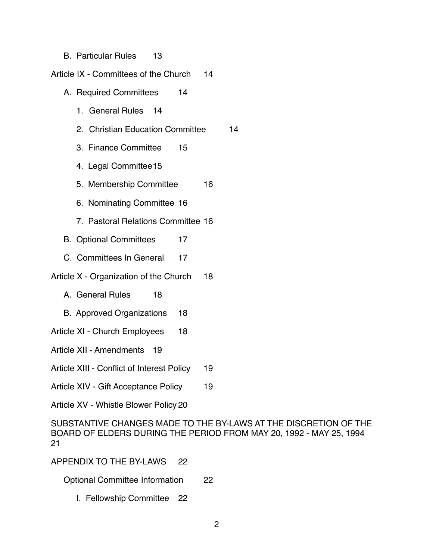[B. Particular Rules 13](#page-12-2)

#### [Article IX - Committees of the Church 14](#page-13-0)

- [A. Required Committees 14](#page-13-1)
	- 1. [General Rules 14](#page-13-2)
	- 2. [Christian Education Committee 14](#page-13-3)
	- [3. Finance Committee 15](#page-14-0)
	- [4. Legal Committee15](#page-14-1)
	- [5. Membership Committee 16](#page-15-0)
	- [6. Nominating Committee 16](#page-15-1)
	- [7. Pastoral Relations Committee 16](#page-15-2)
- [B. Optional Committees 17](#page-16-0)
- [C. Committees In General 17](#page-16-1)
- [Article X Organization of the Church 18](#page-17-0)
	- [A. General Rules 18](#page-17-1)
	- [B. Approved Organizations 18](#page-17-2)
- [Article XI Church Employees 18](#page-17-3)

[Article XII - Amendments 19](#page-18-0)

- [Article XIII Conflict of Interest Policy 19](#page-18-1)
- [Article XIV Gift Acceptance Policy 19](#page-18-2)
- [Article XV Whistle Blower Policy 20](#page-19-0)

[SUBSTANTIVE CHANGES MADE TO THE BY-LAWS AT THE DISCRETION OF THE](#page-20-0)  BOARD OF ELDERS DURING THE PERIOD FROM MAY 20, 1992 - MAY 25, 1994 21

[APPENDIX TO THE BY-LAWS 22](#page-21-0)

[Optional Committee Information 22](#page-21-1)

[I. Fellowship Committee 22](#page-21-2)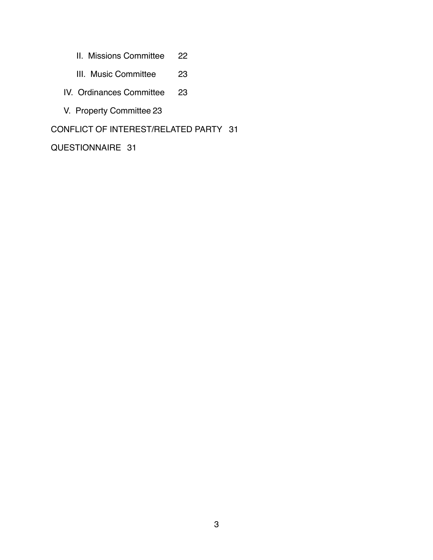- [II. Missions Committee 22](#page-21-3)
- [III. Music Committee 23](#page-22-0)
- [IV. Ordinances Committee 23](#page-22-1)
- [V. Property Committee 23](#page-22-2)

[CONFLICT OF INTEREST/RELATED PARTY 31](#page-30-0)

[QUESTIONNAIRE 31](#page-30-1)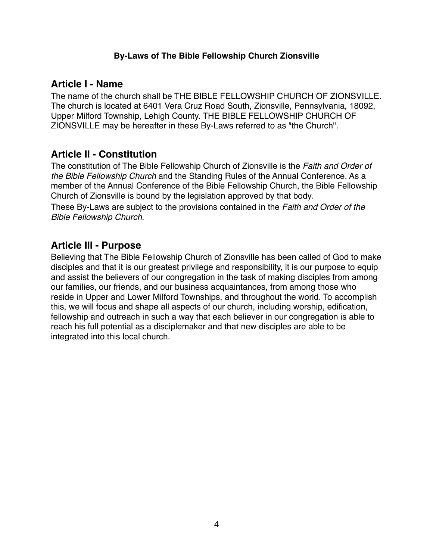### **By-Laws of The Bible Fellowship Church Zionsville**

## <span id="page-3-0"></span>**Article I - Name**

The name of the church shall be THE BIBLE FELLOWSHIP CHURCH OF ZIONSVILLE. The church is located at 6401 Vera Cruz Road South, Zionsville, Pennsylvania, 18092, Upper Milford Township, Lehigh County. THE BIBLE FELLOWSHIP CHURCH OF ZIONSVILLE may be hereafter in these By-Laws referred to as "the Church".

## <span id="page-3-1"></span>**Article II - Constitution**

The constitution of The Bible Fellowship Church of Zionsville is the *Faith and Order of the Bible Fellowship Church* and the Standing Rules of the Annual Conference. As a member of the Annual Conference of the Bible Fellowship Church, the Bible Fellowship Church of Zionsville is bound by the legislation approved by that body. These By-Laws are subject to the provisions contained in the *Faith and Order of the Bible Fellowship Church.* 

## <span id="page-3-2"></span>**Article III - Purpose**

Believing that The Bible Fellowship Church of Zionsville has been called of God to make disciples and that it is our greatest privilege and responsibility, it is our purpose to equip and assist the believers of our congregation in the task of making disciples from among our families, our friends, and our business acquaintances, from among those who reside in Upper and Lower Milford Townships, and throughout the world. To accomplish this, we will focus and shape all aspects of our church, including worship, edification, fellowship and outreach in such a way that each believer in our congregation is able to reach his full potential as a disciplemaker and that new disciples are able to be integrated into this local church.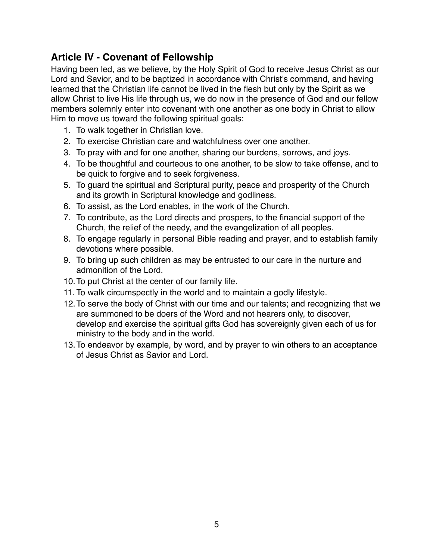# <span id="page-4-0"></span>**Article IV - Covenant of Fellowship**

Having been led, as we believe, by the Holy Spirit of God to receive Jesus Christ as our Lord and Savior, and to be baptized in accordance with Christ's command, and having learned that the Christian life cannot be lived in the flesh but only by the Spirit as we allow Christ to live His life through us, we do now in the presence of God and our fellow members solemnly enter into covenant with one another as one body in Christ to allow Him to move us toward the following spiritual goals:

- 1. To walk together in Christian love.
- 2. To exercise Christian care and watchfulness over one another.
- 3. To pray with and for one another, sharing our burdens, sorrows, and joys.
- 4. To be thoughtful and courteous to one another, to be slow to take offense, and to be quick to forgive and to seek forgiveness.
- 5. To guard the spiritual and Scriptural purity, peace and prosperity of the Church and its growth in Scriptural knowledge and godliness.
- 6. To assist, as the Lord enables, in the work of the Church.
- 7. To contribute, as the Lord directs and prospers, to the financial support of the Church, the relief of the needy, and the evangelization of all peoples.
- 8. To engage regularly in personal Bible reading and prayer, and to establish family devotions where possible.
- 9. To bring up such children as may be entrusted to our care in the nurture and admonition of the Lord.
- 10.To put Christ at the center of our family life.
- 11. To walk circumspectly in the world and to maintain a godly lifestyle.
- 12.To serve the body of Christ with our time and our talents; and recognizing that we are summoned to be doers of the Word and not hearers only, to discover, develop and exercise the spiritual gifts God has sovereignly given each of us for ministry to the body and in the world.
- 13.To endeavor by example, by word, and by prayer to win others to an acceptance of Jesus Christ as Savior and Lord.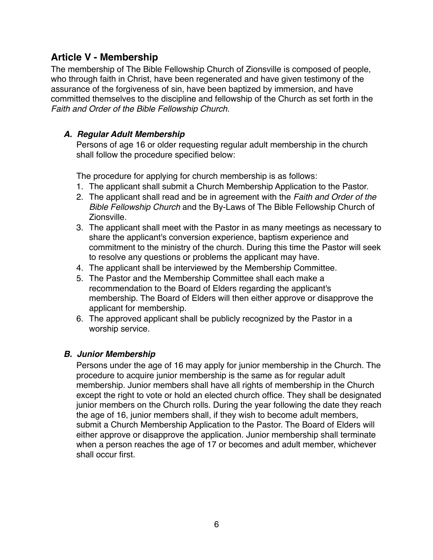## <span id="page-5-0"></span>**Article V - Membership**

The membership of The Bible Fellowship Church of Zionsville is composed of people, who through faith in Christ, have been regenerated and have given testimony of the assurance of the forgiveness of sin, have been baptized by immersion, and have committed themselves to the discipline and fellowship of the Church as set forth in the *Faith and Order of the Bible Fellowship Church.* 

### <span id="page-5-1"></span>*A. Regular Adult Membership*

Persons of age 16 or older requesting regular adult membership in the church shall follow the procedure specified below:

The procedure for applying for church membership is as follows:

- 1. The applicant shall submit a Church Membership Application to the Pastor.
- 2. The applicant shall read and be in agreement with the *Faith and Order of the Bible Fellowship Church* and the By-Laws of The Bible Fellowship Church of Zionsville.
- 3. The applicant shall meet with the Pastor in as many meetings as necessary to share the applicant's conversion experience, baptism experience and commitment to the ministry of the church. During this time the Pastor will seek to resolve any questions or problems the applicant may have.
- 4. The applicant shall be interviewed by the Membership Committee.
- 5. The Pastor and the Membership Committee shall each make a recommendation to the Board of Elders regarding the applicant's membership. The Board of Elders will then either approve or disapprove the applicant for membership.
- 6. The approved applicant shall be publicly recognized by the Pastor in a worship service.

### <span id="page-5-2"></span>*B. Junior Membership*

Persons under the age of 16 may apply for junior membership in the Church. The procedure to acquire junior membership is the same as for regular adult membership. Junior members shall have all rights of membership in the Church except the right to vote or hold an elected church office. They shall be designated junior members on the Church rolls. During the year following the date they reach the age of 16, junior members shall, if they wish to become adult members, submit a Church Membership Application to the Pastor. The Board of Elders will either approve or disapprove the application. Junior membership shall terminate when a person reaches the age of 17 or becomes and adult member, whichever shall occur first.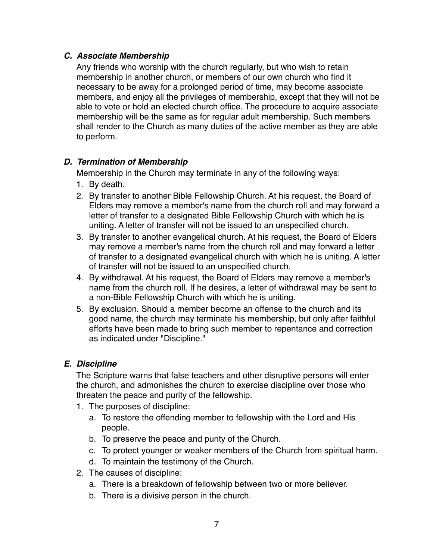#### <span id="page-6-0"></span>*C. Associate Membership*

Any friends who worship with the church regularly, but who wish to retain membership in another church, or members of our own church who find it necessary to be away for a prolonged period of time, may become associate members, and enjoy all the privileges of membership, except that they will not be able to vote or hold an elected church office. The procedure to acquire associate membership will be the same as for regular adult membership. Such members shall render to the Church as many duties of the active member as they are able to perform.

### <span id="page-6-1"></span>*D. Termination of Membership*

Membership in the Church may terminate in any of the following ways:

- 1. By death.
- 2. By transfer to another Bible Fellowship Church. At his request, the Board of Elders may remove a member's name from the church roll and may forward a letter of transfer to a designated Bible Fellowship Church with which he is uniting. A letter of transfer will not be issued to an unspecified church.
- 3. By transfer to another evangelical church. At his request, the Board of Elders may remove a member's name from the church roll and may forward a letter of transfer to a designated evangelical church with which he is uniting. A letter of transfer will not be issued to an unspecified church.
- 4. By withdrawal. At his request, the Board of Elders may remove a member's name from the church roll. If he desires, a letter of withdrawal may be sent to a non-Bible Fellowship Church with which he is uniting.
- 5. By exclusion. Should a member become an offense to the church and its good name, the church may terminate his membership, but only after faithful efforts have been made to bring such member to repentance and correction as indicated under "Discipline."

### <span id="page-6-2"></span>*E. Discipline*

The Scripture warns that false teachers and other disruptive persons will enter the church, and admonishes the church to exercise discipline over those who threaten the peace and purity of the fellowship.

- 1. The purposes of discipline:
	- a. To restore the offending member to fellowship with the Lord and His people.
	- b. To preserve the peace and purity of the Church.
	- c. To protect younger or weaker members of the Church from spiritual harm.
	- d. To maintain the testimony of the Church.
- 2. The causes of discipline:
	- a. There is a breakdown of fellowship between two or more believer.
	- b. There is a divisive person in the church.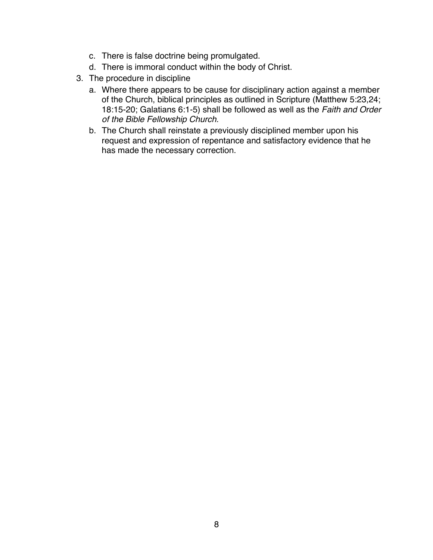- c. There is false doctrine being promulgated.
- d. There is immoral conduct within the body of Christ.
- 3. The procedure in discipline
	- a. Where there appears to be cause for disciplinary action against a member of the Church, biblical principles as outlined in Scripture (Matthew 5:23,24; 18:15-20; Galatians 6:1-5) shall be followed as well as the *Faith and Order of the Bible Fellowship Church.*
	- b. The Church shall reinstate a previously disciplined member upon his request and expression of repentance and satisfactory evidence that he has made the necessary correction.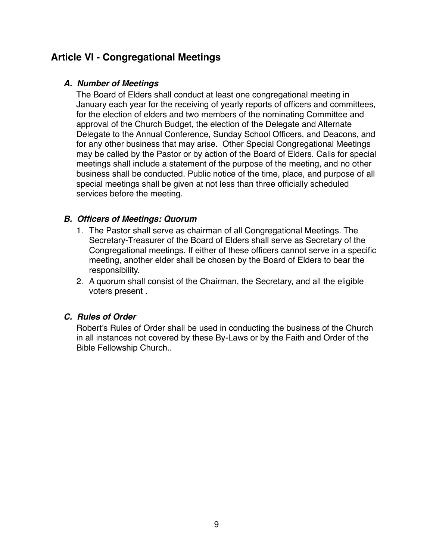# <span id="page-8-0"></span>**Article VI - Congregational Meetings**

#### <span id="page-8-1"></span>*A. Number of Meetings*

The Board of Elders shall conduct at least one congregational meeting in January each year for the receiving of yearly reports of officers and committees, for the election of elders and two members of the nominating Committee and approval of the Church Budget, the election of the Delegate and Alternate Delegate to the Annual Conference, Sunday School Officers, and Deacons, and for any other business that may arise. Other Special Congregational Meetings may be called by the Pastor or by action of the Board of Elders. Calls for special meetings shall include a statement of the purpose of the meeting, and no other business shall be conducted. Public notice of the time, place, and purpose of all special meetings shall be given at not less than three officially scheduled services before the meeting.

#### <span id="page-8-2"></span>*B. Officers of Meetings: Quorum*

- 1. The Pastor shall serve as chairman of all Congregational Meetings. The Secretary-Treasurer of the Board of Elders shall serve as Secretary of the Congregational meetings. If either of these officers cannot serve in a specific meeting, another elder shall be chosen by the Board of Elders to bear the responsibility.
- 2. A quorum shall consist of the Chairman, the Secretary, and all the eligible voters present .

### <span id="page-8-3"></span>*C. Rules of Order*

Robert's Rules of Order shall be used in conducting the business of the Church in all instances not covered by these By-Laws or by the Faith and Order of the Bible Fellowship Church..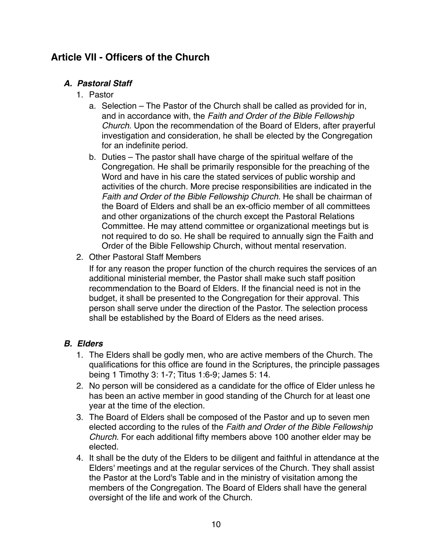# <span id="page-9-0"></span>**Article VII - Officers of the Church**

### <span id="page-9-1"></span>*A. Pastoral Staff*

- 1. Pastor
	- a. Selection The Pastor of the Church shall be called as provided for in, and in accordance with, the *Faith and Order of the Bible Fellowship Church.* Upon the recommendation of the Board of Elders, after prayerful investigation and consideration, he shall be elected by the Congregation for an indefinite period.
	- b. Duties The pastor shall have charge of the spiritual welfare of the Congregation. He shall be primarily responsible for the preaching of the Word and have in his care the stated services of public worship and activities of the church. More precise responsibilities are indicated in the *Faith and Order of the Bible Fellowship Church.* He shall be chairman of the Board of Elders and shall be an ex-officio member of all committees and other organizations of the church except the Pastoral Relations Committee. He may attend committee or organizational meetings but is not required to do so. He shall be required to annually sign the Faith and Order of the Bible Fellowship Church, without mental reservation.
- 2. Other Pastoral Staff Members

If for any reason the proper function of the church requires the services of an additional ministerial member, the Pastor shall make such staff position recommendation to the Board of Elders. If the financial need is not in the budget, it shall be presented to the Congregation for their approval. This person shall serve under the direction of the Pastor. The selection process shall be established by the Board of Elders as the need arises.

### <span id="page-9-2"></span>*B. Elders*

- 1. The Elders shall be godly men, who are active members of the Church. The qualifications for this office are found in the Scriptures, the principle passages being 1 Timothy 3: 1-7; Titus 1:6-9; James 5: 14.
- 2. No person will be considered as a candidate for the office of Elder unless he has been an active member in good standing of the Church for at least one year at the time of the election.
- 3. The Board of Elders shall be composed of the Pastor and up to seven men elected according to the rules of the *Faith and Order of the Bible Fellowship Church.* For each additional fifty members above 100 another elder may be elected.
- 4. It shall be the duty of the Elders to be diligent and faithful in attendance at the Elders' meetings and at the regular services of the Church. They shall assist the Pastor at the Lord's Table and in the ministry of visitation among the members of the Congregation. The Board of Elders shall have the general oversight of the life and work of the Church.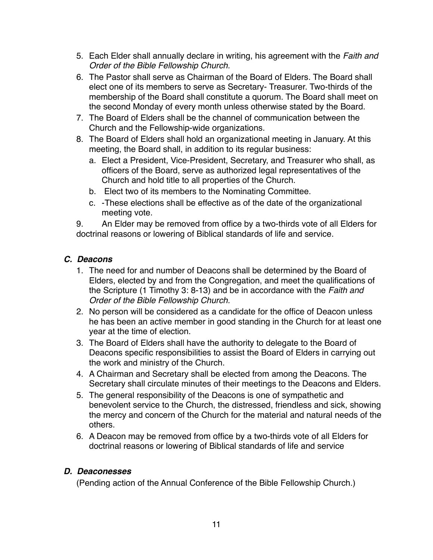- 5. Each Elder shall annually declare in writing, his agreement with the *Faith and Order of the Bible Fellowship Church.*
- 6. The Pastor shall serve as Chairman of the Board of Elders. The Board shall elect one of its members to serve as Secretary- Treasurer. Two-thirds of the membership of the Board shall constitute a quorum. The Board shall meet on the second Monday of every month unless otherwise stated by the Board.
- 7. The Board of Elders shall be the channel of communication between the Church and the Fellowship-wide organizations.
- 8. The Board of Elders shall hold an organizational meeting in January. At this meeting, the Board shall, in addition to its regular business:
	- a. Elect a President, Vice-President, Secretary, and Treasurer who shall, as officers of the Board, serve as authorized legal representatives of the Church and hold title to all properties of the Church.
	- b. Elect two of its members to the Nominating Committee.
	- c. -These elections shall be effective as of the date of the organizational meeting vote.

9. An Elder may be removed from office by a two-thirds vote of all Elders for doctrinal reasons or lowering of Biblical standards of life and service.

### <span id="page-10-0"></span>*C. Deacons*

- 1. The need for and number of Deacons shall be determined by the Board of Elders, elected by and from the Congregation, and meet the qualifications of the Scripture (1 Timothy 3: 8-13) and be in accordance with the *Faith and Order of the Bible Fellowship Church.*
- 2. No person will be considered as a candidate for the office of Deacon unless he has been an active member in good standing in the Church for at least one year at the time of election.
- 3. The Board of Elders shall have the authority to delegate to the Board of Deacons specific responsibilities to assist the Board of Elders in carrying out the work and ministry of the Church.
- 4. A Chairman and Secretary shall be elected from among the Deacons. The Secretary shall circulate minutes of their meetings to the Deacons and Elders.
- 5. The general responsibility of the Deacons is one of sympathetic and benevolent service to the Church, the distressed, friendless and sick, showing the mercy and concern of the Church for the material and natural needs of the others.
- 6. A Deacon may be removed from office by a two-thirds vote of all Elders for doctrinal reasons or lowering of Biblical standards of life and service

### <span id="page-10-1"></span>*D. Deaconesses*

(Pending action of the Annual Conference of the Bible Fellowship Church.)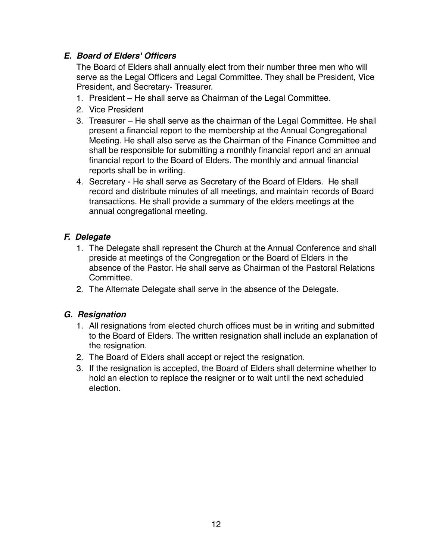### <span id="page-11-0"></span>*E. Board of Elders' Officers*

The Board of Elders shall annually elect from their number three men who will serve as the Legal Officers and Legal Committee. They shall be President, Vice President, and Secretary- Treasurer.

- 1. President He shall serve as Chairman of the Legal Committee.
- 2. Vice President
- 3. Treasurer He shall serve as the chairman of the Legal Committee. He shall present a financial report to the membership at the Annual Congregational Meeting. He shall also serve as the Chairman of the Finance Committee and shall be responsible for submitting a monthly financial report and an annual financial report to the Board of Elders. The monthly and annual financial reports shall be in writing.
- 4. Secretary He shall serve as Secretary of the Board of Elders. He shall record and distribute minutes of all meetings, and maintain records of Board transactions. He shall provide a summary of the elders meetings at the annual congregational meeting.

### <span id="page-11-1"></span>*F. Delegate*

- 1. The Delegate shall represent the Church at the Annual Conference and shall preside at meetings of the Congregation or the Board of Elders in the absence of the Pastor. He shall serve as Chairman of the Pastoral Relations **Committee**
- 2. The Alternate Delegate shall serve in the absence of the Delegate.

### <span id="page-11-2"></span>*G. Resignation*

- 1. All resignations from elected church offices must be in writing and submitted to the Board of Elders. The written resignation shall include an explanation of the resignation.
- 2. The Board of Elders shall accept or reject the resignation.
- 3. If the resignation is accepted, the Board of Elders shall determine whether to hold an election to replace the resigner or to wait until the next scheduled election.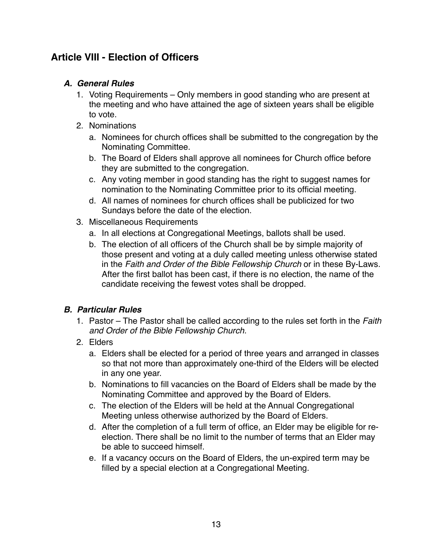# <span id="page-12-0"></span>**Article VIII - Election of Officers**

### <span id="page-12-1"></span>*A. General Rules*

- 1. Voting Requirements Only members in good standing who are present at the meeting and who have attained the age of sixteen years shall be eligible to vote.
- 2. Nominations
	- a. Nominees for church offices shall be submitted to the congregation by the Nominating Committee.
	- b. The Board of Elders shall approve all nominees for Church office before they are submitted to the congregation.
	- c. Any voting member in good standing has the right to suggest names for nomination to the Nominating Committee prior to its official meeting.
	- d. All names of nominees for church offices shall be publicized for two Sundays before the date of the election.
- 3. Miscellaneous Requirements
	- a. In all elections at Congregational Meetings, ballots shall be used.
	- b. The election of all officers of the Church shall be by simple majority of those present and voting at a duly called meeting unless otherwise stated in the *Faith and Order of the Bible Fellowship Church* or in these By-Laws. After the first ballot has been cast, if there is no election, the name of the candidate receiving the fewest votes shall be dropped.

### <span id="page-12-2"></span>*B. Particular Rules*

- 1. Pastor The Pastor shall be called according to the rules set forth in the *Faith and Order of the Bible Fellowship Church.*
- 2. Elders
	- a. Elders shall be elected for a period of three years and arranged in classes so that not more than approximately one-third of the Elders will be elected in any one year.
	- b. Nominations to fill vacancies on the Board of Elders shall be made by the Nominating Committee and approved by the Board of Elders.
	- c. The election of the Elders will be held at the Annual Congregational Meeting unless otherwise authorized by the Board of Elders.
	- d. After the completion of a full term of office, an Elder may be eligible for reelection. There shall be no limit to the number of terms that an Elder may be able to succeed himself.
	- e. If a vacancy occurs on the Board of Elders, the un-expired term may be filled by a special election at a Congregational Meeting.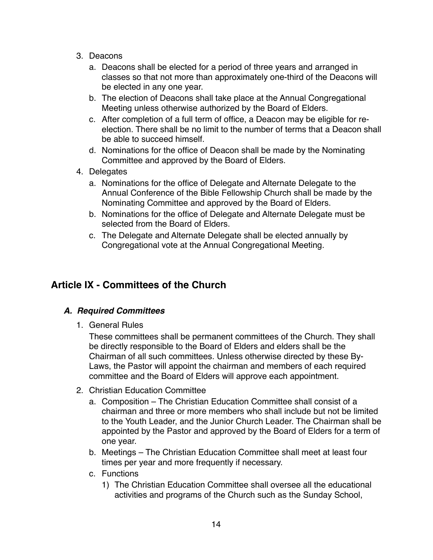- 3. Deacons
	- a. Deacons shall be elected for a period of three years and arranged in classes so that not more than approximately one-third of the Deacons will be elected in any one year.
	- b. The election of Deacons shall take place at the Annual Congregational Meeting unless otherwise authorized by the Board of Elders.
	- c. After completion of a full term of office, a Deacon may be eligible for reelection. There shall be no limit to the number of terms that a Deacon shall be able to succeed himself.
	- d. Nominations for the office of Deacon shall be made by the Nominating Committee and approved by the Board of Elders.
- 4. Delegates
	- a. Nominations for the office of Delegate and Alternate Delegate to the Annual Conference of the Bible Fellowship Church shall be made by the Nominating Committee and approved by the Board of Elders.
	- b. Nominations for the office of Delegate and Alternate Delegate must be selected from the Board of Elders.
	- c. The Delegate and Alternate Delegate shall be elected annually by Congregational vote at the Annual Congregational Meeting.

# <span id="page-13-0"></span>**Article IX - Committees of the Church**

### <span id="page-13-1"></span>*A. Required Committees*

1. General Rules

<span id="page-13-2"></span>These committees shall be permanent committees of the Church. They shall be directly responsible to the Board of Elders and elders shall be the Chairman of all such committees. Unless otherwise directed by these By-Laws, the Pastor will appoint the chairman and members of each required committee and the Board of Elders will approve each appointment.

- <span id="page-13-3"></span>2. Christian Education Committee
	- a. Composition The Christian Education Committee shall consist of a chairman and three or more members who shall include but not be limited to the Youth Leader, and the Junior Church Leader. The Chairman shall be appointed by the Pastor and approved by the Board of Elders for a term of one year.
	- b. Meetings The Christian Education Committee shall meet at least four times per year and more frequently if necessary.
	- c. Functions
		- 1) The Christian Education Committee shall oversee all the educational activities and programs of the Church such as the Sunday School,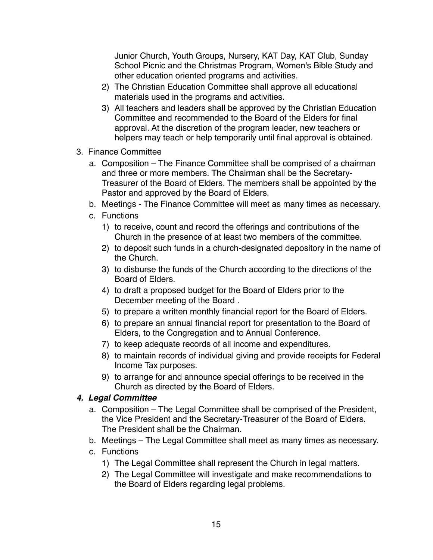Junior Church, Youth Groups, Nursery, KAT Day, KAT Club, Sunday School Picnic and the Christmas Program, Women's Bible Study and other education oriented programs and activities.

- 2) The Christian Education Committee shall approve all educational materials used in the programs and activities.
- 3) All teachers and leaders shall be approved by the Christian Education Committee and recommended to the Board of the Elders for final approval. At the discretion of the program leader, new teachers or helpers may teach or help temporarily until final approval is obtained.
- <span id="page-14-0"></span>3. Finance Committee
	- a. Composition The Finance Committee shall be comprised of a chairman and three or more members. The Chairman shall be the Secretary-Treasurer of the Board of Elders. The members shall be appointed by the Pastor and approved by the Board of Elders.
	- b. Meetings The Finance Committee will meet as many times as necessary.
	- c. Functions
		- 1) to receive, count and record the offerings and contributions of the Church in the presence of at least two members of the committee.
		- 2) to deposit such funds in a church-designated depository in the name of the Church.
		- 3) to disburse the funds of the Church according to the directions of the Board of Elders.
		- 4) to draft a proposed budget for the Board of Elders prior to the December meeting of the Board .
		- 5) to prepare a written monthly financial report for the Board of Elders.
		- 6) to prepare an annual financial report for presentation to the Board of Elders, to the Congregation and to Annual Conference.
		- 7) to keep adequate records of all income and expenditures.
		- 8) to maintain records of individual giving and provide receipts for Federal Income Tax purposes.
		- 9) to arrange for and announce special offerings to be received in the Church as directed by the Board of Elders.

### <span id="page-14-1"></span>*4. Legal Committee*

- a. Composition The Legal Committee shall be comprised of the President, the Vice President and the Secretary-Treasurer of the Board of Elders. The President shall be the Chairman.
- b. Meetings The Legal Committee shall meet as many times as necessary.
- c. Functions
	- 1) The Legal Committee shall represent the Church in legal matters.
	- 2) The Legal Committee will investigate and make recommendations to the Board of Elders regarding legal problems.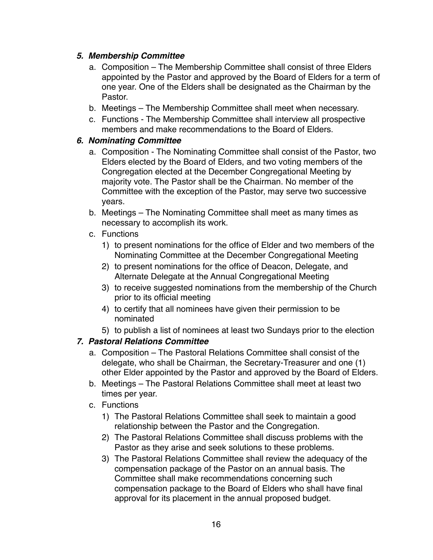### <span id="page-15-0"></span>*5. Membership Committee*

- a. Composition The Membership Committee shall consist of three Elders appointed by the Pastor and approved by the Board of Elders for a term of one year. One of the Elders shall be designated as the Chairman by the Pastor.
- b. Meetings The Membership Committee shall meet when necessary.
- c. Functions The Membership Committee shall interview all prospective members and make recommendations to the Board of Elders.

### <span id="page-15-1"></span>*6. Nominating Committee*

- a. Composition The Nominating Committee shall consist of the Pastor, two Elders elected by the Board of Elders, and two voting members of the Congregation elected at the December Congregational Meeting by majority vote. The Pastor shall be the Chairman. No member of the Committee with the exception of the Pastor, may serve two successive years.
- b. Meetings The Nominating Committee shall meet as many times as necessary to accomplish its work.
- c. Functions
	- 1) to present nominations for the office of Elder and two members of the Nominating Committee at the December Congregational Meeting
	- 2) to present nominations for the office of Deacon, Delegate, and Alternate Delegate at the Annual Congregational Meeting
	- 3) to receive suggested nominations from the membership of the Church prior to its official meeting
	- 4) to certify that all nominees have given their permission to be nominated
	- 5) to publish a list of nominees at least two Sundays prior to the election

### <span id="page-15-2"></span>*7. Pastoral Relations Committee*

- a. Composition The Pastoral Relations Committee shall consist of the delegate, who shall be Chairman, the Secretary-Treasurer and one (1) other Elder appointed by the Pastor and approved by the Board of Elders.
- b. Meetings The Pastoral Relations Committee shall meet at least two times per year.
- c. Functions
	- 1) The Pastoral Relations Committee shall seek to maintain a good relationship between the Pastor and the Congregation.
	- 2) The Pastoral Relations Committee shall discuss problems with the Pastor as they arise and seek solutions to these problems.
	- 3) The Pastoral Relations Committee shall review the adequacy of the compensation package of the Pastor on an annual basis. The Committee shall make recommendations concerning such compensation package to the Board of Elders who shall have final approval for its placement in the annual proposed budget.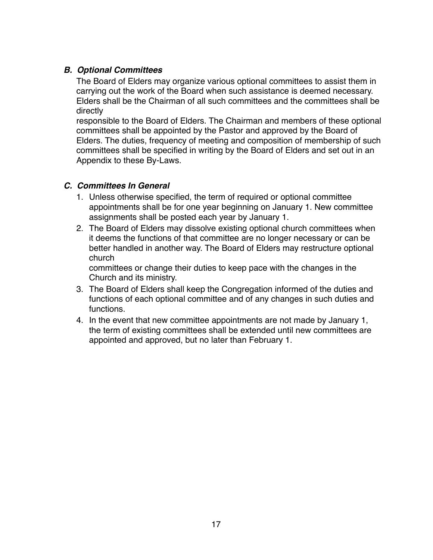### <span id="page-16-0"></span>*B. Optional Committees*

The Board of Elders may organize various optional committees to assist them in carrying out the work of the Board when such assistance is deemed necessary. Elders shall be the Chairman of all such committees and the committees shall be directly

responsible to the Board of Elders. The Chairman and members of these optional committees shall be appointed by the Pastor and approved by the Board of Elders. The duties, frequency of meeting and composition of membership of such committees shall be specified in writing by the Board of Elders and set out in an Appendix to these By-Laws.

### <span id="page-16-1"></span>*C. Committees In General*

- 1. Unless otherwise specified, the term of required or optional committee appointments shall be for one year beginning on January 1. New committee assignments shall be posted each year by January 1.
- 2. The Board of Elders may dissolve existing optional church committees when it deems the functions of that committee are no longer necessary or can be better handled in another way. The Board of Elders may restructure optional church

committees or change their duties to keep pace with the changes in the Church and its ministry.

- 3. The Board of Elders shall keep the Congregation informed of the duties and functions of each optional committee and of any changes in such duties and functions.
- 4. In the event that new committee appointments are not made by January 1, the term of existing committees shall be extended until new committees are appointed and approved, but no later than February 1.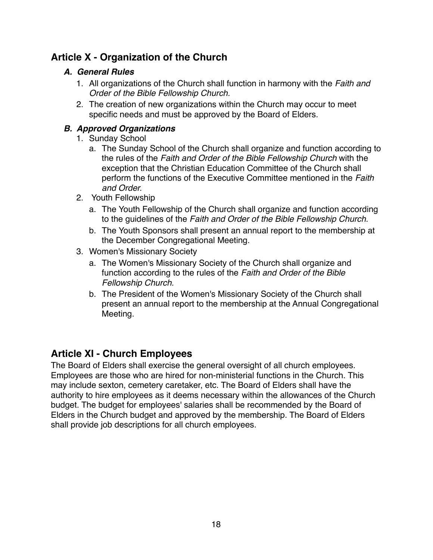# <span id="page-17-0"></span>**Article X - Organization of the Church**

### <span id="page-17-1"></span>*A. General Rules*

- 1. All organizations of the Church shall function in harmony with the *Faith and Order of the Bible Fellowship Church.*
- 2. The creation of new organizations within the Church may occur to meet specific needs and must be approved by the Board of Elders.

## <span id="page-17-2"></span>*B. Approved Organizations*

- 1. Sunday School
	- a. The Sunday School of the Church shall organize and function according to the rules of the *Faith and Order of the Bible Fellowship Church* with the exception that the Christian Education Committee of the Church shall perform the functions of the Executive Committee mentioned in the *Faith and Order.*
- 2. Youth Fellowship
	- a. The Youth Fellowship of the Church shall organize and function according to the guidelines of the *Faith and Order of the Bible Fellowship Church.*
	- b. The Youth Sponsors shall present an annual report to the membership at the December Congregational Meeting.
- 3. Women's Missionary Society
	- a. The Women's Missionary Society of the Church shall organize and function according to the rules of the *Faith and Order of the Bible Fellowship Church.*
	- b. The President of the Women's Missionary Society of the Church shall present an annual report to the membership at the Annual Congregational Meeting.

# <span id="page-17-3"></span>**Article XI - Church Employees**

The Board of Elders shall exercise the general oversight of all church employees. Employees are those who are hired for non-ministerial functions in the Church. This may include sexton, cemetery caretaker, etc. The Board of Elders shall have the authority to hire employees as it deems necessary within the allowances of the Church budget. The budget for employees' salaries shall be recommended by the Board of Elders in the Church budget and approved by the membership. The Board of Elders shall provide job descriptions for all church employees.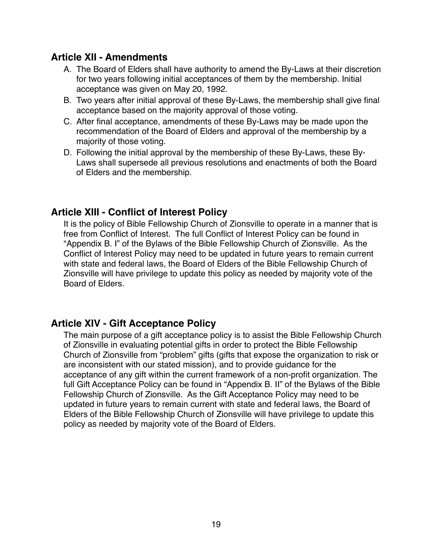## <span id="page-18-0"></span>**Article XII - Amendments**

- A. The Board of Elders shall have authority to amend the By-Laws at their discretion for two years following initial acceptances of them by the membership. Initial acceptance was given on May 20, 1992.
- B. Two years after initial approval of these By-Laws, the membership shall give final acceptance based on the majority approval of those voting.
- C. After final acceptance, amendments of these By-Laws may be made upon the recommendation of the Board of Elders and approval of the membership by a majority of those voting.
- D. Following the initial approval by the membership of these By-Laws, these By-Laws shall supersede all previous resolutions and enactments of both the Board of Elders and the membership.

## <span id="page-18-1"></span>**Article XIII - Conflict of Interest Policy**

It is the policy of Bible Fellowship Church of Zionsville to operate in a manner that is free from Conflict of Interest. The full Conflict of Interest Policy can be found in "Appendix B. I" of the Bylaws of the Bible Fellowship Church of Zionsville. As the Conflict of Interest Policy may need to be updated in future years to remain current with state and federal laws, the Board of Elders of the Bible Fellowship Church of Zionsville will have privilege to update this policy as needed by majority vote of the Board of Elders.

## <span id="page-18-2"></span>**Article XIV - Gift Acceptance Policy**

The main purpose of a gift acceptance policy is to assist the Bible Fellowship Church of Zionsville in evaluating potential gifts in order to protect the Bible Fellowship Church of Zionsville from "problem" gifts (gifts that expose the organization to risk or are inconsistent with our stated mission), and to provide guidance for the acceptance of any gift within the current framework of a non-profit organization. The full Gift Acceptance Policy can be found in "Appendix B. II" of the Bylaws of the Bible Fellowship Church of Zionsville. As the Gift Acceptance Policy may need to be updated in future years to remain current with state and federal laws, the Board of Elders of the Bible Fellowship Church of Zionsville will have privilege to update this policy as needed by majority vote of the Board of Elders.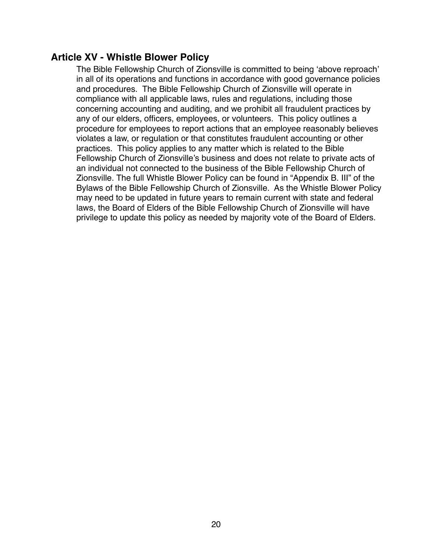## <span id="page-19-0"></span>**Article XV - Whistle Blower Policy**

The Bible Fellowship Church of Zionsville is committed to being 'above reproach' in all of its operations and functions in accordance with good governance policies and procedures. The Bible Fellowship Church of Zionsville will operate in compliance with all applicable laws, rules and regulations, including those concerning accounting and auditing, and we prohibit all fraudulent practices by any of our elders, officers, employees, or volunteers. This policy outlines a procedure for employees to report actions that an employee reasonably believes violates a law, or regulation or that constitutes fraudulent accounting or other practices. This policy applies to any matter which is related to the Bible Fellowship Church of Zionsville's business and does not relate to private acts of an individual not connected to the business of the Bible Fellowship Church of Zionsville. The full Whistle Blower Policy can be found in "Appendix B. III" of the Bylaws of the Bible Fellowship Church of Zionsville. As the Whistle Blower Policy may need to be updated in future years to remain current with state and federal laws, the Board of Elders of the Bible Fellowship Church of Zionsville will have privilege to update this policy as needed by majority vote of the Board of Elders.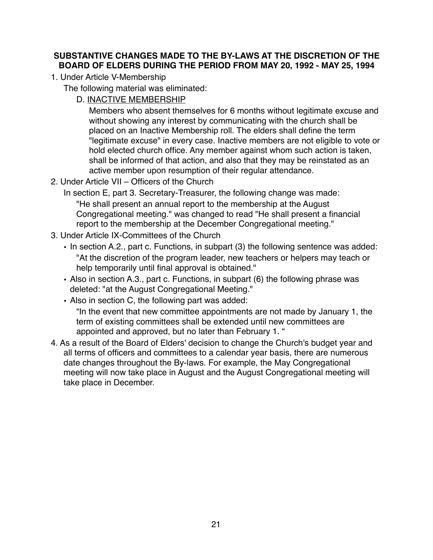#### <span id="page-20-0"></span>**SUBSTANTIVE CHANGES MADE TO THE BY-LAWS AT THE DISCRETION OF THE BOARD OF ELDERS DURING THE PERIOD FROM MAY 20, 1992 - MAY 25, 1994**

1. Under Article V-Membership

The following material was eliminated:

D. INACTIVE MEMBERSHIP

Members who absent themselves for 6 months without legitimate excuse and without showing any interest by communicating with the church shall be placed on an Inactive Membership roll. The elders shall define the term "legitimate excuse" in every case. Inactive members are not eligible to vote or hold elected church office. Any member against whom such action is taken, shall be informed of that action, and also that they may be reinstated as an active member upon resumption of their regular attendance.

- 2. Under Article VII Officers of the Church
	- In section E, part 3. Secretary-Treasurer, the following change was made:

"He shall present an annual report to the membership at the August Congregational meeting." was changed to read "He shall present a financial report to the membership at the December Congregational meeting."

- 3. Under Article IX-Committees of the Church
	- In section A.2., part c. Functions, in subpart (3) the following sentence was added: "At the discretion of the program leader, new teachers or helpers may teach or help temporarily until final approval is obtained."
	- Also in section A.3., part c. Functions, in subpart (6) the following phrase was deleted: "at the August Congregational Meeting."
	- Also in section C, the following part was added:

"In the event that new committee appointments are not made by January 1, the term of existing committees shall be extended until new committees are appointed and approved, but no later than February 1. "

4. As a result of the Board of Elders' decision to change the Church's budget year and all terms of officers and committees to a calendar year basis, there are numerous date changes throughout the By-laws. For example, the May Congregational meeting will now take place in August and the August Congregational meeting will take place in December.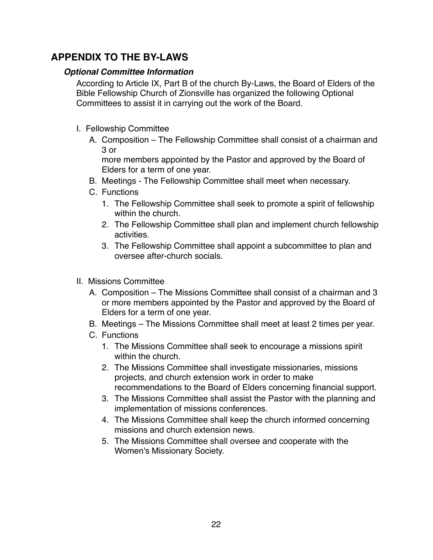# <span id="page-21-0"></span>**APPENDIX TO THE BY-LAWS**

#### <span id="page-21-1"></span>*Optional Committee Information*

According to Article IX, Part B of the church By-Laws, the Board of Elders of the Bible Fellowship Church of Zionsville has organized the following Optional Committees to assist it in carrying out the work of the Board.

- <span id="page-21-2"></span>I. Fellowship Committee
	- A. Composition The Fellowship Committee shall consist of a chairman and 3 or

more members appointed by the Pastor and approved by the Board of Elders for a term of one year.

- B. Meetings The Fellowship Committee shall meet when necessary.
- C. Functions
	- 1. The Fellowship Committee shall seek to promote a spirit of fellowship within the church.
	- 2. The Fellowship Committee shall plan and implement church fellowship activities.
	- 3. The Fellowship Committee shall appoint a subcommittee to plan and oversee after-church socials.
- <span id="page-21-3"></span>II. Missions Committee
	- A. Composition The Missions Committee shall consist of a chairman and 3 or more members appointed by the Pastor and approved by the Board of Elders for a term of one year.
	- B. Meetings The Missions Committee shall meet at least 2 times per year.
	- C. Functions
		- 1. The Missions Committee shall seek to encourage a missions spirit within the church.
		- 2. The Missions Committee shall investigate missionaries, missions projects, and church extension work in order to make recommendations to the Board of Elders concerning financial support.
		- 3. The Missions Committee shall assist the Pastor with the planning and implementation of missions conferences.
		- 4. The Missions Committee shall keep the church informed concerning missions and church extension news.
		- 5. The Missions Committee shall oversee and cooperate with the Women's Missionary Society.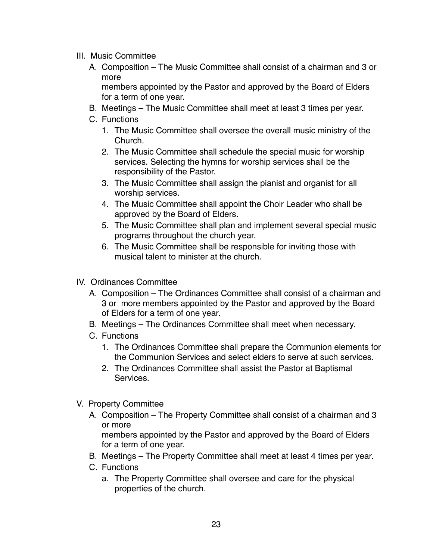- <span id="page-22-0"></span>III. Music Committee
	- A. Composition The Music Committee shall consist of a chairman and 3 or more

members appointed by the Pastor and approved by the Board of Elders for a term of one year.

- B. Meetings The Music Committee shall meet at least 3 times per year.
- C. Functions
	- 1. The Music Committee shall oversee the overall music ministry of the Church.
	- 2. The Music Committee shall schedule the special music for worship services. Selecting the hymns for worship services shall be the responsibility of the Pastor.
	- 3. The Music Committee shall assign the pianist and organist for all worship services.
	- 4. The Music Committee shall appoint the Choir Leader who shall be approved by the Board of Elders.
	- 5. The Music Committee shall plan and implement several special music programs throughout the church year.
	- 6. The Music Committee shall be responsible for inviting those with musical talent to minister at the church.
- <span id="page-22-1"></span>IV. Ordinances Committee
	- A. Composition The Ordinances Committee shall consist of a chairman and 3 or more members appointed by the Pastor and approved by the Board of Elders for a term of one year.
	- B. Meetings The Ordinances Committee shall meet when necessary.
	- C. Functions
		- 1. The Ordinances Committee shall prepare the Communion elements for the Communion Services and select elders to serve at such services.
		- 2. The Ordinances Committee shall assist the Pastor at Baptismal Services.
- <span id="page-22-2"></span>V. Property Committee
	- A. Composition The Property Committee shall consist of a chairman and 3 or more members appointed by the Pastor and approved by the Board of Elders
		- for a term of one year.
	- B. Meetings The Property Committee shall meet at least 4 times per year.
	- C. Functions
		- a. The Property Committee shall oversee and care for the physical properties of the church.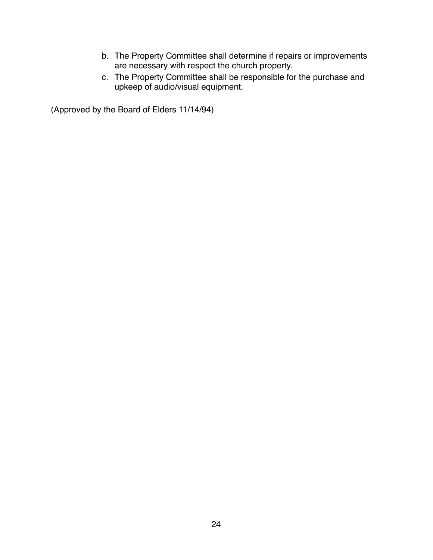- b. The Property Committee shall determine if repairs or improvements are necessary with respect the church property.
- c. The Property Committee shall be responsible for the purchase and upkeep of audio/visual equipment.

(Approved by the Board of Elders 11/14/94)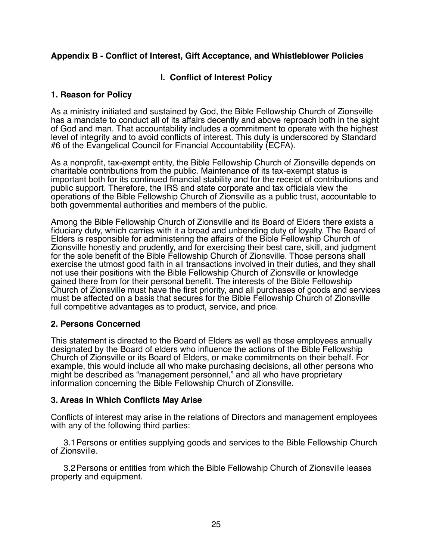#### **Appendix B - Conflict of Interest, Gift Acceptance, and Whistleblower Policies**

#### **I. Conflict of Interest Policy**

#### **1. Reason for Policy**

As a ministry initiated and sustained by God, the Bible Fellowship Church of Zionsville has a mandate to conduct all of its affairs decently and above reproach both in the sight of God and man. That accountability includes a commitment to operate with the highest level of integrity and to avoid conflicts of interest. This duty is underscored by Standard #6 of the Evangelical Council for Financial Accountability (ECFA).

As a nonprofit, tax-exempt entity, the Bible Fellowship Church of Zionsville depends on charitable contributions from the public. Maintenance of its tax-exempt status is important both for its continued financial stability and for the receipt of contributions and public support. Therefore, the IRS and state corporate and tax officials view the operations of the Bible Fellowship Church of Zionsville as a public trust, accountable to both governmental authorities and members of the public.

Among the Bible Fellowship Church of Zionsville and its Board of Elders there exists a fiduciary duty, which carries with it a broad and unbending duty of loyalty. The Board of Elders is responsible for administering the affairs of the Bible Fellowship Church of Zionsville honestly and prudently, and for exercising their best care, skill, and judgment for the sole benefit of the Bible Fellowship Church of Zionsville. Those persons shall exercise the utmost good faith in all transactions involved in their duties, and they shall not use their positions with the Bible Fellowship Church of Zionsville or knowledge gained there from for their personal benefit. The interests of the Bible Fellowship Church of Zionsville must have the first priority, and all purchases of goods and services must be affected on a basis that secures for the Bible Fellowship Church of Zionsville full competitive advantages as to product, service, and price.

#### **2. Persons Concerned**

This statement is directed to the Board of Elders as well as those employees annually designated by the Board of elders who influence the actions of the Bible Fellowship Church of Zionsville or its Board of Elders, or make commitments on their behalf. For example, this would include all who make purchasing decisions, all other persons who might be described as "management personnel," and all who have proprietary information concerning the Bible Fellowship Church of Zionsville.

#### **3. Areas in Which Conflicts May Arise**

Conflicts of interest may arise in the relations of Directors and management employees with any of the following third parties:

3.1Persons or entities supplying goods and services to the Bible Fellowship Church of Zionsville.

3.2Persons or entities from which the Bible Fellowship Church of Zionsville leases property and equipment.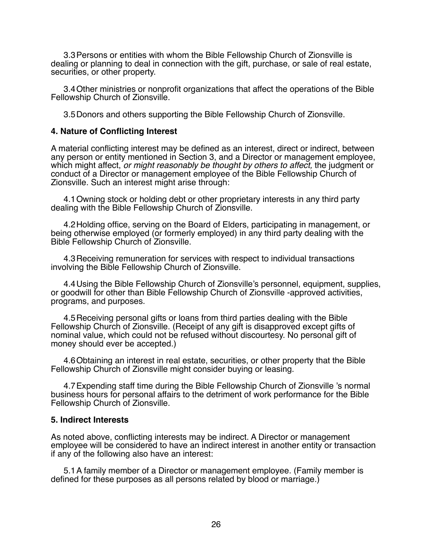3.3Persons or entities with whom the Bible Fellowship Church of Zionsville is dealing or planning to deal in connection with the gift, purchase, or sale of real estate, securities, or other property.

3.4Other ministries or nonprofit organizations that affect the operations of the Bible Fellowship Church of Zionsville.

3.5Donors and others supporting the Bible Fellowship Church of Zionsville.

#### **4. Nature of Conflicting Interest**

A material conflicting interest may be defined as an interest, direct or indirect, between any person or entity mentioned in Section 3, and a Director or management employee, which might affect, *or might reasonably be thought by others to affect,* the judgment or conduct of a Director or management employee of the Bible Fellowship Church of Zionsville. Such an interest might arise through:

4.1Owning stock or holding debt or other proprietary interests in any third party dealing with the Bible Fellowship Church of Zionsville.

4.2Holding office, serving on the Board of Elders, participating in management, or being otherwise employed (or formerly employed) in any third party dealing with the Bible Fellowship Church of Zionsville.

4.3Receiving remuneration for services with respect to individual transactions involving the Bible Fellowship Church of Zionsville.

4.4Using the Bible Fellowship Church of Zionsville's personnel, equipment, supplies, or goodwill for other than Bible Fellowship Church of Zionsville -approved activities, programs, and purposes.

4.5Receiving personal gifts or loans from third parties dealing with the Bible Fellowship Church of Zionsville. (Receipt of any gift is disapproved except gifts of nominal value, which could not be refused without discourtesy. No personal gift of money should ever be accepted.)

4.6Obtaining an interest in real estate, securities, or other property that the Bible Fellowship Church of Zionsville might consider buying or leasing.

4.7Expending staff time during the Bible Fellowship Church of Zionsville 's normal business hours for personal affairs to the detriment of work performance for the Bible Fellowship Church of Zionsville.

#### **5. Indirect Interests**

As noted above, conflicting interests may be indirect. A Director or management employee will be considered to have an indirect interest in another entity or transaction if any of the following also have an interest:

5.1A family member of a Director or management employee. (Family member is defined for these purposes as all persons related by blood or marriage.)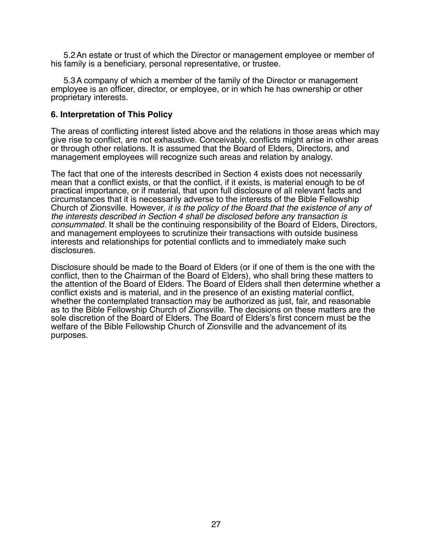5.2An estate or trust of which the Director or management employee or member of his family is a beneficiary, personal representative, or trustee.

5.3A company of which a member of the family of the Director or management employee is an officer, director, or employee, or in which he has ownership or other proprietary interests.

#### **6. Interpretation of This Policy**

The areas of conflicting interest listed above and the relations in those areas which may give rise to conflict, are not exhaustive. Conceivably, conflicts might arise in other areas or through other relations. It is assumed that the Board of Elders, Directors, and management employees will recognize such areas and relation by analogy.

The fact that one of the interests described in Section 4 exists does not necessarily mean that a conflict exists, or that the conflict, if it exists, is material enough to be of practical importance, or if material, that upon full disclosure of all relevant facts and circumstances that it is necessarily adverse to the interests of the Bible Fellowship Church of Zionsville. However, *it is the policy of the Board that the existence of any of the interests described in Section 4 shall be disclosed before any transaction is consummated.* It shall be the continuing responsibility of the Board of Elders, Directors, and management employees to scrutinize their transactions with outside business interests and relationships for potential conflicts and to immediately make such disclosures.

Disclosure should be made to the Board of Elders (or if one of them is the one with the conflict, then to the Chairman of the Board of Elders), who shall bring these matters to the attention of the Board of Elders. The Board of Elders shall then determine whether a conflict exists and is material, and in the presence of an existing material conflict, whether the contemplated transaction may be authorized as just, fair, and reasonable as to the Bible Fellowship Church of Zionsville. The decisions on these matters are the sole discretion of the Board of Elders. The Board of Elders's first concern must be the welfare of the Bible Fellowship Church of Zionsville and the advancement of its purposes.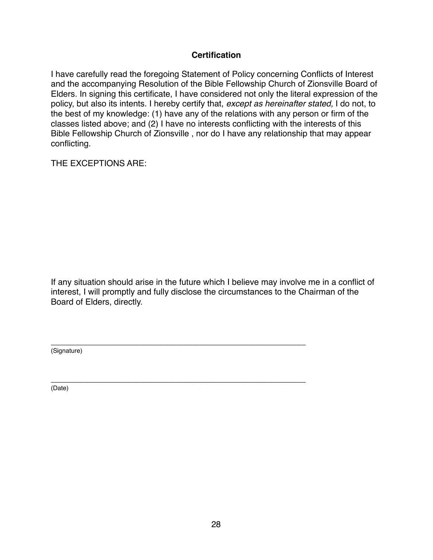#### **Certification**

I have carefully read the foregoing Statement of Policy concerning Conflicts of Interest and the accompanying Resolution of the Bible Fellowship Church of Zionsville Board of Elders. In signing this certificate, I have considered not only the literal expression of the policy, but also its intents. I hereby certify that, *except as hereinafter stated,* I do not, to the best of my knowledge: (1) have any of the relations with any person or firm of the classes listed above; and (2) I have no interests conflicting with the interests of this Bible Fellowship Church of Zionsville , nor do I have any relationship that may appear conflicting.

THE EXCEPTIONS ARE:

If any situation should arise in the future which I believe may involve me in a conflict of interest, I will promptly and fully disclose the circumstances to the Chairman of the Board of Elders, directly.

\_\_\_\_\_\_\_\_\_\_\_\_\_\_\_\_\_\_\_\_\_\_\_\_\_\_\_\_\_\_\_\_\_\_\_\_\_\_\_\_\_\_\_\_\_\_\_\_\_\_\_\_\_\_ (Signature)

\_\_\_\_\_\_\_\_\_\_\_\_\_\_\_\_\_\_\_\_\_\_\_\_\_\_\_\_\_\_\_\_\_\_\_\_\_\_\_\_\_\_\_\_\_\_\_\_\_\_\_\_\_\_ (Date)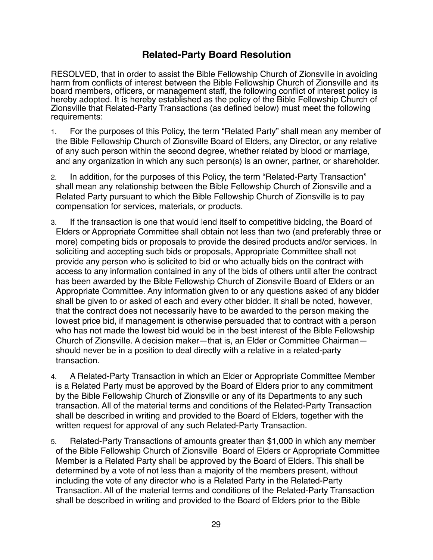## **Related-Party Board Resolution**

RESOLVED, that in order to assist the Bible Fellowship Church of Zionsville in avoiding harm from conflicts of interest between the Bible Fellowship Church of Zionsville and its board members, officers, or management staff, the following conflict of interest policy is hereby adopted. It is hereby established as the policy of the Bible Fellowship Church of Zionsville that Related-Party Transactions (as defined below) must meet the following requirements:

- 1. For the purposes of this Policy, the term "Related Party" shall mean any member of the Bible Fellowship Church of Zionsville Board of Elders, any Director, or any relative of any such person within the second degree, whether related by blood or marriage, and any organization in which any such person(s) is an owner, partner, or shareholder.
- 2. In addition, for the purposes of this Policy, the term "Related-Party Transaction" shall mean any relationship between the Bible Fellowship Church of Zionsville and a Related Party pursuant to which the Bible Fellowship Church of Zionsville is to pay compensation for services, materials, or products.
- 3. If the transaction is one that would lend itself to competitive bidding, the Board of Elders or Appropriate Committee shall obtain not less than two (and preferably three or more) competing bids or proposals to provide the desired products and/or services. In soliciting and accepting such bids or proposals, Appropriate Committee shall not provide any person who is solicited to bid or who actually bids on the contract with access to any information contained in any of the bids of others until after the contract has been awarded by the Bible Fellowship Church of Zionsville Board of Elders or an Appropriate Committee. Any information given to or any questions asked of any bidder shall be given to or asked of each and every other bidder. It shall be noted, however, that the contract does not necessarily have to be awarded to the person making the lowest price bid, if management is otherwise persuaded that to contract with a person who has not made the lowest bid would be in the best interest of the Bible Fellowship Church of Zionsville. A decision maker—that is, an Elder or Committee Chairman should never be in a position to deal directly with a relative in a related-party transaction.
- 4. A Related-Party Transaction in which an Elder or Appropriate Committee Member is a Related Party must be approved by the Board of Elders prior to any commitment by the Bible Fellowship Church of Zionsville or any of its Departments to any such transaction. All of the material terms and conditions of the Related-Party Transaction shall be described in writing and provided to the Board of Elders, together with the written request for approval of any such Related-Party Transaction.
- 5. Related-Party Transactions of amounts greater than \$1,000 in which any member of the Bible Fellowship Church of Zionsville Board of Elders or Appropriate Committee Member is a Related Party shall be approved by the Board of Elders. This shall be determined by a vote of not less than a majority of the members present, without including the vote of any director who is a Related Party in the Related-Party Transaction. All of the material terms and conditions of the Related-Party Transaction shall be described in writing and provided to the Board of Elders prior to the Bible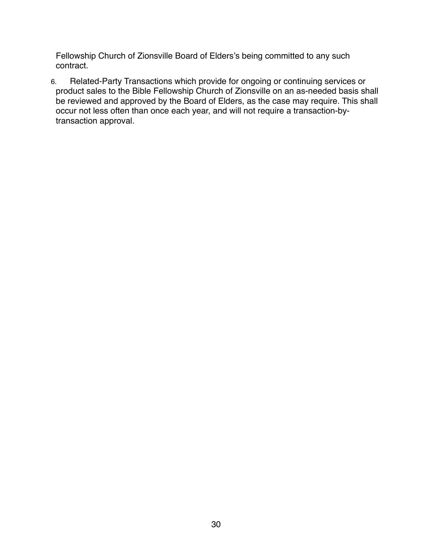Fellowship Church of Zionsville Board of Elders's being committed to any such contract.

6. Related-Party Transactions which provide for ongoing or continuing services or product sales to the Bible Fellowship Church of Zionsville on an as-needed basis shall be reviewed and approved by the Board of Elders, as the case may require. This shall occur not less often than once each year, and will not require a transaction-bytransaction approval.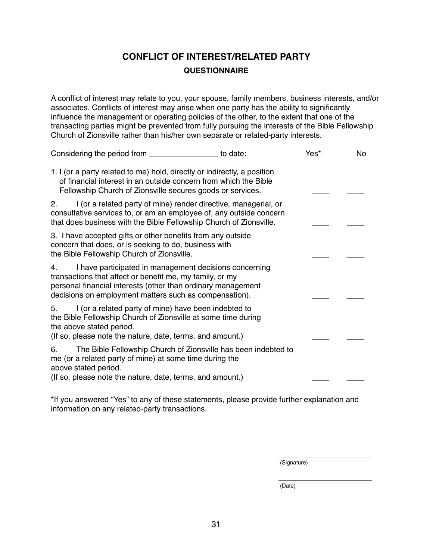# <span id="page-30-1"></span><span id="page-30-0"></span>**CONFLICT OF INTEREST/RELATED PARTY QUESTIONNAIRE**

A conflict of interest may relate to you, your spouse, family members, business interests, and/or associates. Conflicts of interest may arise when one party has the ability to significantly influence the management or operating policies of the other, to the extent that one of the transacting parties might be prevented from fully pursuing the interests of the Bible Fellowship Church of Zionsville rather than his/her own separate or related-party interests.

|                                                                                                                                                                                                                                                    | to date:                                                       | Yes* | No |
|----------------------------------------------------------------------------------------------------------------------------------------------------------------------------------------------------------------------------------------------------|----------------------------------------------------------------|------|----|
| 1. I (or a party related to me) hold, directly or indirectly, a position<br>of financial interest in an outside concern from which the Bible<br>Fellowship Church of Zionsville secures goods or services.                                         |                                                                |      |    |
| I (or a related party of mine) render directive, managerial, or<br>2.<br>consultative services to, or am an employee of, any outside concern<br>that does business with the Bible Fellowship Church of Zionsville.                                 |                                                                |      |    |
| 3. I have accepted gifts or other benefits from any outside<br>concern that does, or is seeking to do, business with<br>the Bible Fellowship Church of Zionsville.                                                                                 |                                                                |      |    |
| I have participated in management decisions concerning<br>4.<br>transactions that affect or benefit me, my family, or my<br>personal financial interests (other than ordinary management<br>decisions on employment matters such as compensation). |                                                                |      |    |
| I (or a related party of mine) have been indebted to<br>5.<br>the Bible Fellowship Church of Zionsville at some time during<br>the above stated period.<br>(If so, please note the nature, date, terms, and amount.)                               |                                                                |      |    |
| 6.<br>me (or a related party of mine) at some time during the<br>above stated period.                                                                                                                                                              | The Bible Fellowship Church of Zionsville has been indebted to |      |    |
| (If so, please note the nature, date, terms, and amount.)                                                                                                                                                                                          |                                                                |      |    |
|                                                                                                                                                                                                                                                    |                                                                |      |    |

\*If you answered "Yes" to any of these statements, please provide further explanation and information on any related-party transactions.

(Signature)

 $\overline{a}$ (Date)

 $\overline{a}$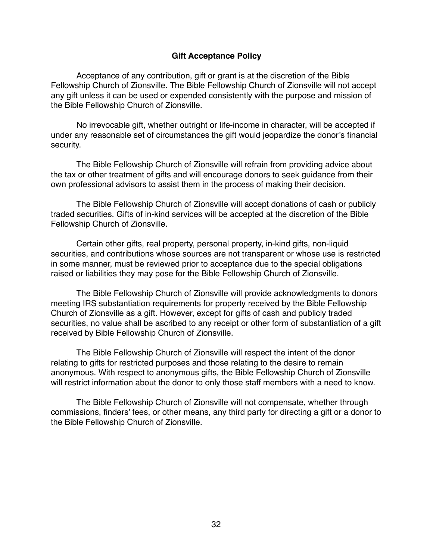#### **Gift Acceptance Policy**

Acceptance of any contribution, gift or grant is at the discretion of the Bible Fellowship Church of Zionsville. The Bible Fellowship Church of Zionsville will not accept any gift unless it can be used or expended consistently with the purpose and mission of the Bible Fellowship Church of Zionsville.

No irrevocable gift, whether outright or life-income in character, will be accepted if under any reasonable set of circumstances the gift would jeopardize the donor's financial security.

The Bible Fellowship Church of Zionsville will refrain from providing advice about the tax or other treatment of gifts and will encourage donors to seek guidance from their own professional advisors to assist them in the process of making their decision.

The Bible Fellowship Church of Zionsville will accept donations of cash or publicly traded securities. Gifts of in-kind services will be accepted at the discretion of the Bible Fellowship Church of Zionsville.

Certain other gifts, real property, personal property, in-kind gifts, non-liquid securities, and contributions whose sources are not transparent or whose use is restricted in some manner, must be reviewed prior to acceptance due to the special obligations raised or liabilities they may pose for the Bible Fellowship Church of Zionsville.

The Bible Fellowship Church of Zionsville will provide acknowledgments to donors meeting IRS substantiation requirements for property received by the Bible Fellowship Church of Zionsville as a gift. However, except for gifts of cash and publicly traded securities, no value shall be ascribed to any receipt or other form of substantiation of a gift received by Bible Fellowship Church of Zionsville.

The Bible Fellowship Church of Zionsville will respect the intent of the donor relating to gifts for restricted purposes and those relating to the desire to remain anonymous. With respect to anonymous gifts, the Bible Fellowship Church of Zionsville will restrict information about the donor to only those staff members with a need to know.

The Bible Fellowship Church of Zionsville will not compensate, whether through commissions, finders' fees, or other means, any third party for directing a gift or a donor to the Bible Fellowship Church of Zionsville.